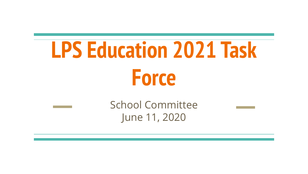# **LPS Education 2021 Task Force**

School Committee June 11, 2020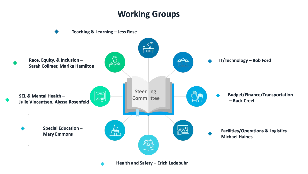#### **Working Groups**

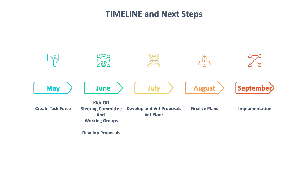#### **TIMELINE and Next Steps**

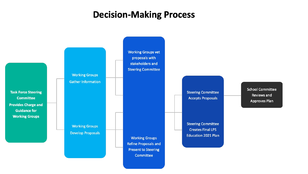#### **Decision-Making Process**

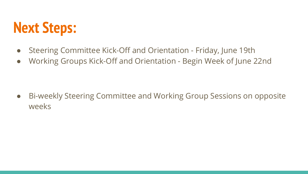#### **Next Steps:**

- Steering Committee Kick-Off and Orientation Friday, June 19th
- Working Groups Kick-Off and Orientation Begin Week of June 22nd

● Bi-weekly Steering Committee and Working Group Sessions on opposite weeks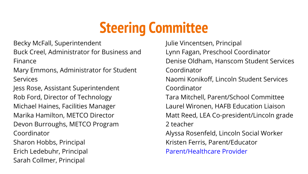### **Steering Committee**

Becky McFall, Superintendent

Buck Creel, Administrator for Business and Finance

Mary Emmons, Administrator for Student **Services** 

Jess Rose, Assistant Superintendent Rob Ford, Director of Technology Michael Haines, Facilities Manager Marika Hamilton, METCO Director Devon Burroughs, METCO Program Coordinator Sharon Hobbs, Principal Erich Ledebuhr, Principal Sarah Collmer, Principal

Julie Vincentsen, Principal Lynn Fagan, Preschool Coordinator Denise Oldham, Hanscom Student Services Coordinator Naomi Konikoff, Lincoln Student Services Coordinator Tara Mitchell, Parent/School Committee Laurel Wironen, HAFB Education Liaison Matt Reed, LEA Co-president/Lincoln grade 2 teacher Alyssa Rosenfeld, Lincoln Social Worker Kristen Ferris, Parent/Educator Parent/Healthcare Provider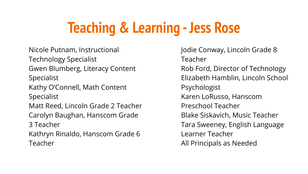## **Teaching & Learning - Jess Rose**

Nicole Putnam, Instructional Technology Specialist Gwen Blumberg, Literacy Content **Specialist** Kathy O'Connell, Math Content **Specialist** Matt Reed, Lincoln Grade 2 Teacher Carolyn Baughan, Hanscom Grade 3 Teacher Kathryn Rinaldo, Hanscom Grade 6 Teacher

Jodie Conway, Lincoln Grade 8 Teacher Rob Ford, Director of Technology Elizabeth Hamblin, Lincoln School Psychologist Karen LoRusso, Hanscom Preschool Teacher Blake Siskavich, Music Teacher Tara Sweeney, English Language Learner Teacher All Principals as Needed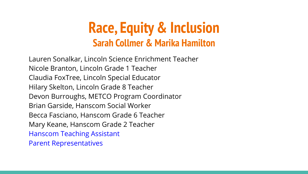#### **Race, Equity & Inclusion Sarah Collmer & Marika Hamilton**

Lauren Sonalkar, Lincoln Science Enrichment Teacher Nicole Branton, Lincoln Grade 1 Teacher Claudia FoxTree, Lincoln Special Educator Hilary Skelton, Lincoln Grade 8 Teacher Devon Burroughs, METCO Program Coordinator Brian Garside, Hanscom Social Worker Becca Fasciano, Hanscom Grade 6 Teacher Mary Keane, Hanscom Grade 2 Teacher Hanscom Teaching Assistant Parent Representatives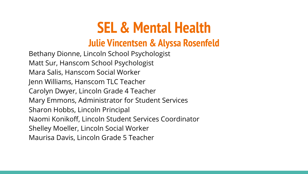#### **SEL & Mental Health**

#### **Julie Vincentsen & Alyssa Rosenfeld**

Bethany Dionne, Lincoln School Psychologist Matt Sur, Hanscom School Psychologist Mara Salis, Hanscom Social Worker Jenn Williams, Hanscom TLC Teacher Carolyn Dwyer, Lincoln Grade 4 Teacher Mary Emmons, Administrator for Student Services Sharon Hobbs, Lincoln Principal Naomi Konikoff, Lincoln Student Services Coordinator Shelley Moeller, Lincoln Social Worker Maurisa Davis, Lincoln Grade 5 Teacher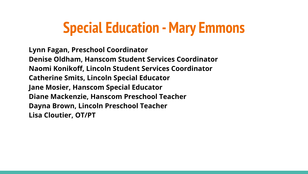#### **Special Education - Mary Emmons**

**Lynn Fagan, Preschool Coordinator Denise Oldham, Hanscom Student Services Coordinator Naomi Konikoff, Lincoln Student Services Coordinator Catherine Smits, Lincoln Special Educator Jane Mosier, Hanscom Special Educator Diane Mackenzie, Hanscom Preschool Teacher Dayna Brown, Lincoln Preschool Teacher Lisa Cloutier, OT/PT**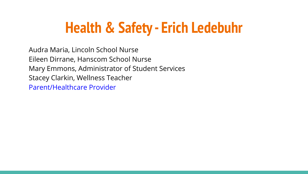### **Health & Safety - Erich Ledebuhr**

Audra Maria, Lincoln School Nurse Eileen Dirrane, Hanscom School Nurse Mary Emmons, Administrator of Student Services Stacey Clarkin, Wellness Teacher Parent/Healthcare Provider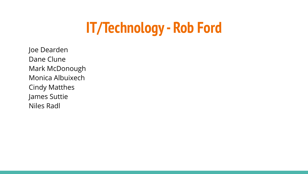### **IT/Technology - Rob Ford**

Joe Dearden Dane Clune Mark McDonough Monica Albuixech Cindy Matthes James Suttie Niles Radl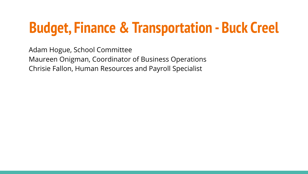### **Budget, Finance & Transportation - Buck Creel**

Adam Hogue, School Committee Maureen Onigman, Coordinator of Business Operations Chrisie Fallon, Human Resources and Payroll Specialist